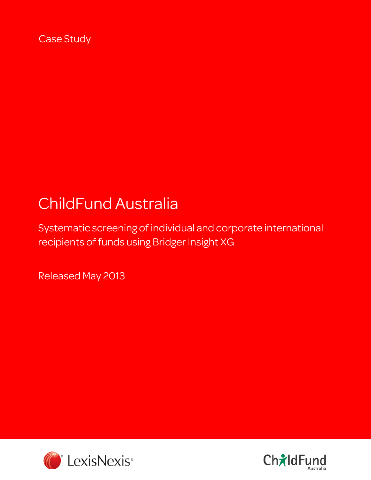Case Study

# ChildFund Australia

Systematic screening of individual and corporate international recipients of funds using Bridger Insight XG

Released May 2013